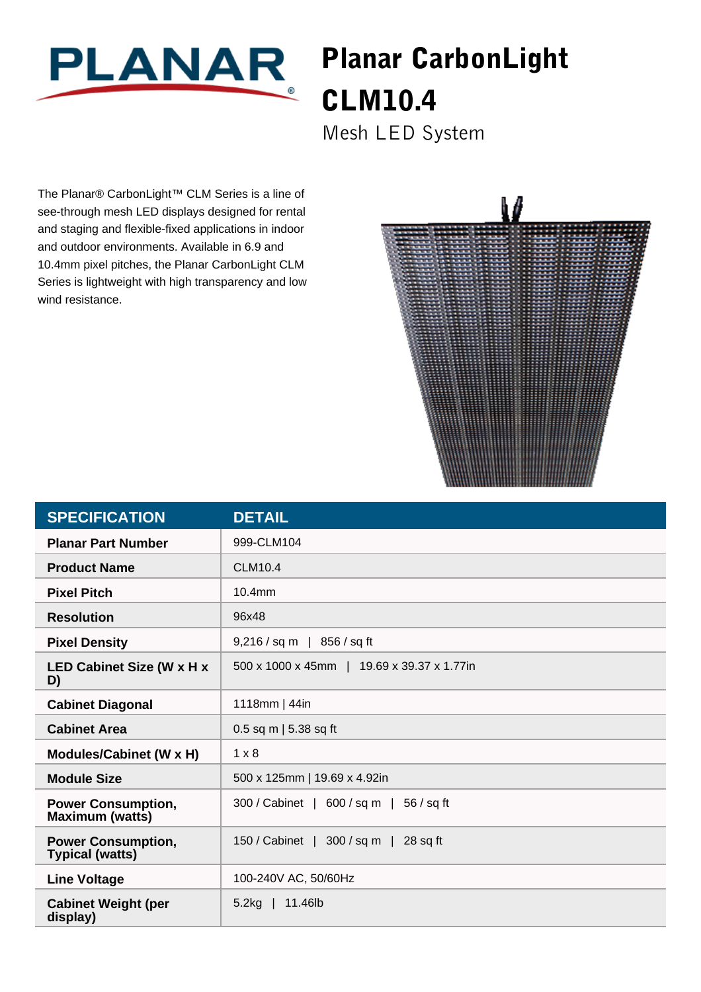

## Planar CarbonLight CLM10.4

Mesh LED System

The Planar® CarbonLight™ CLM Series is a line of see-through mesh LED displays designed for rental and staging and flexible-fixed applications in indoor and outdoor environments. Available in 6.9 and 10.4mm pixel pitches, the Planar CarbonLight CLM Series is lightweight with high transparency and low wind resistance.



| <b>SPECIFICATION</b>                                | <b>DETAIL</b>                                |
|-----------------------------------------------------|----------------------------------------------|
| <b>Planar Part Number</b>                           | 999-CLM104                                   |
| <b>Product Name</b>                                 | <b>CLM10.4</b>                               |
| <b>Pixel Pitch</b>                                  | 10.4mm                                       |
| <b>Resolution</b>                                   | 96x48                                        |
| <b>Pixel Density</b>                                | 9,216 / sq m<br>856 / sq ft                  |
| <b>LED Cabinet Size (W x H x</b><br>D)              | 500 x 1000 x 45mm   19.69 x 39.37 x 1.77in   |
| <b>Cabinet Diagonal</b>                             | 1118mm   44in                                |
| <b>Cabinet Area</b>                                 | 0.5 sq m   5.38 sq ft                        |
| Modules/Cabinet (W x H)                             | $1 \times 8$                                 |
| <b>Module Size</b>                                  | 500 x 125mm   19.69 x 4.92in                 |
| <b>Power Consumption,</b><br><b>Maximum (watts)</b> | 300 / Cabinet   600 / sq m  <br>$56 / sq$ ft |
| <b>Power Consumption,</b><br><b>Typical (watts)</b> | 150 / Cabinet   300 / sq m   28 sq ft        |
| <b>Line Voltage</b>                                 | 100-240V AC, 50/60Hz                         |
| <b>Cabinet Weight (per</b><br>display)              | $5.2kg$   11.46lb                            |